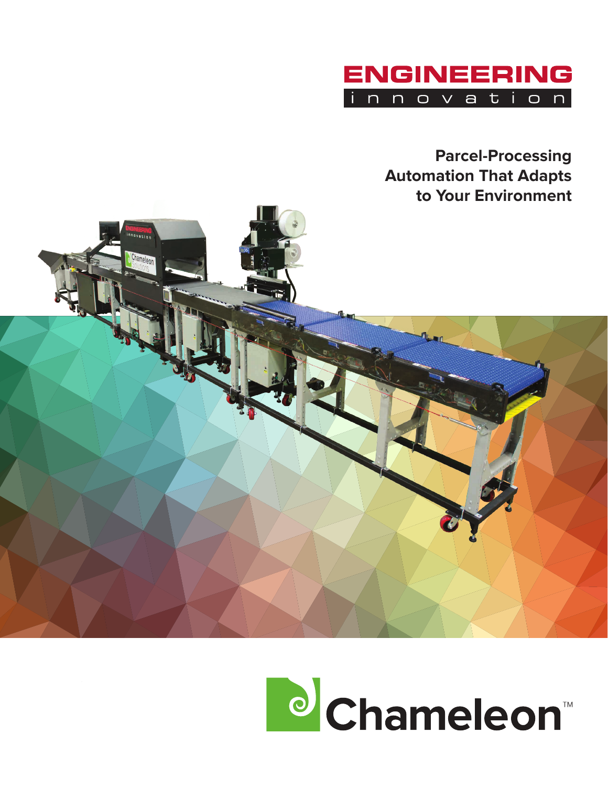

**Parcel-Processing Automation That Adapts to Your Environment**



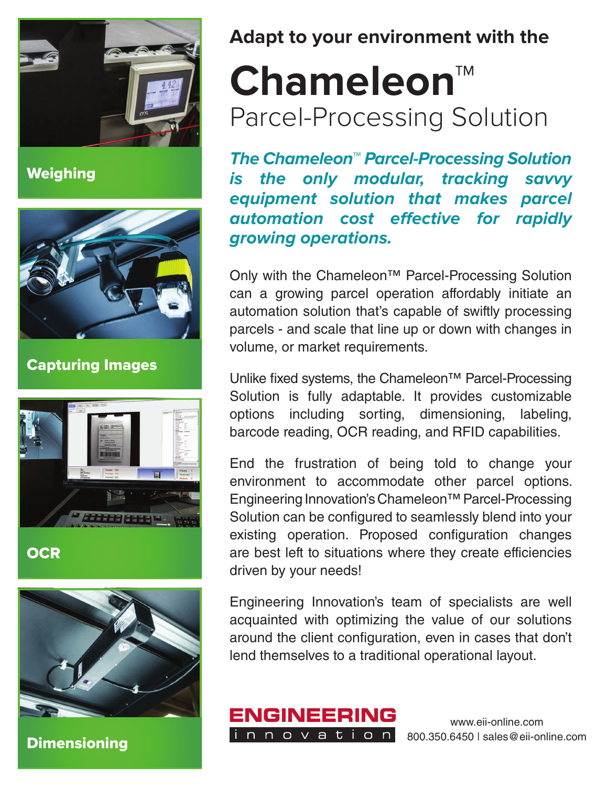

**Weighing** 



Capturing Images



**OCR** 



**Dimensioning** 

**Adapt to your environment with the**

## **Chameleon™**  Parcel-Processing Solution

**The Chameleon™ Parcel-Processing Solution is the only modular, tracking savvy equipment solution that makes parcel automation cost effective for rapidly growing operations.** 

Only with the Chameleon™ Parcel-Processing Solution can a growing parcel operation affordably initiate an automation solution that's capable of swiftly processing parcels - and scale that line up or down with changes in volume, or market requirements.

Unlike fixed systems, the Chameleon™ Parcel-Processing Solution is fully adaptable. It provides customizable options including sorting, dimensioning, labeling, barcode reading, OCR reading, and RFID capabilities.

End the frustration of being told to change your environment to accommodate other parcel options. Engineering Innovation's Chameleon™ Parcel-Processing Solution can be configured to seamlessly blend into your existing operation. Proposed configuration changes are best left to situations where they create efficiencies driven by your needs!

Engineering Innovation's team of specialists are well acquainted with optimizing the value of our solutions around the client configuration, even in cases that don't lend themselves to a traditional operational layout.

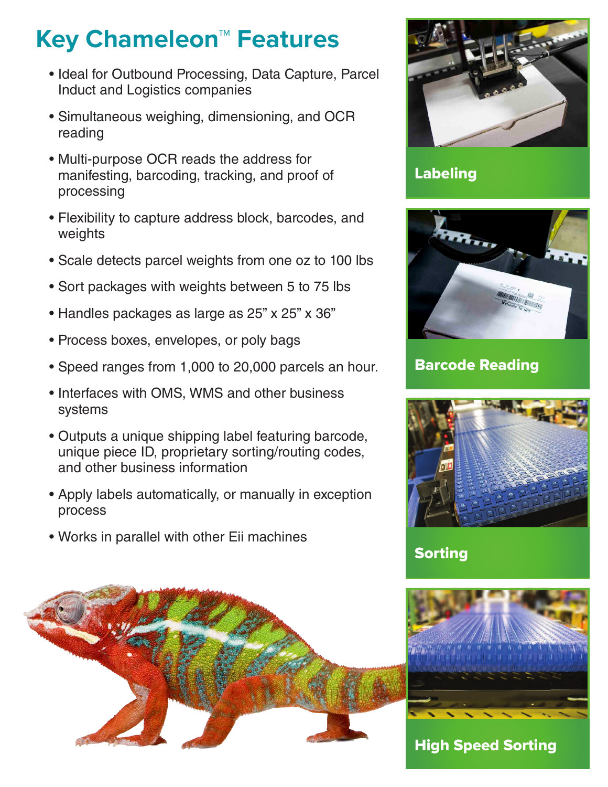## **Key Chameleon™ Features**

- Ideal for Outbound Processing, Data Capture, Parcel Induct and Logistics companies
- Simultaneous weighing, dimensioning, and OCR reading
- Multi-purpose OCR reads the address for manifesting, barcoding, tracking, and proof of processing
- Flexibility to capture address block, barcodes, and weights
- Scale detects parcel weights from one oz to 100 lbs
- Sort packages with weights between 5 to 75 lbs
- Handles packages as large as 25" x 25" x 36"
- Process boxes, envelopes, or poly bags
- Speed ranges from 1,000 to 20,000 parcels an hour.
- Interfaces with OMS, WMS and other business systems
- Outputs a unique shipping label featuring barcode, unique piece ID, proprietary sorting/routing codes, and other business information
- Apply labels automatically, or manually in exception process
- Works in parallel with other Eii machines





Labeling



Barcode Reading



## Sorting



## High Speed Sorting